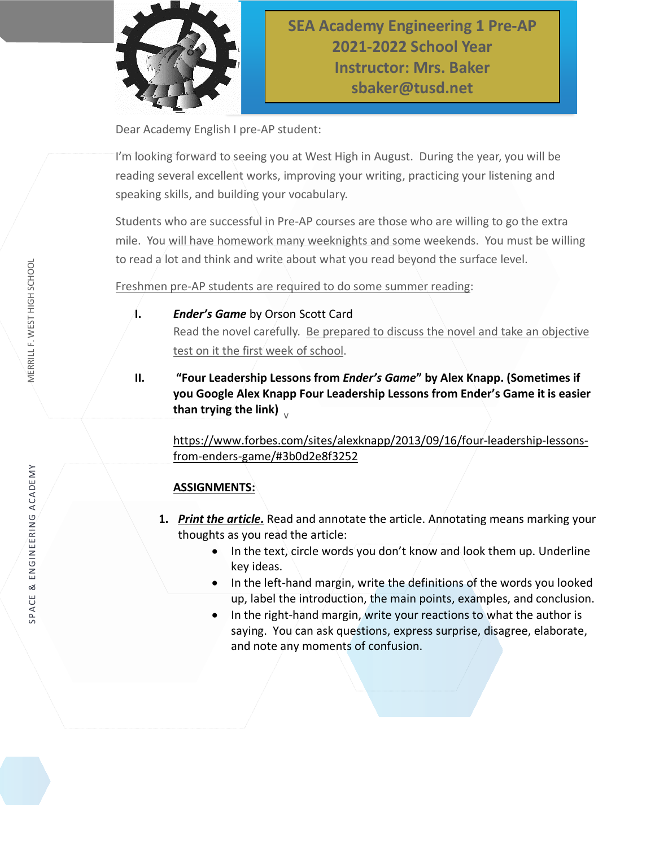

Dear Academy English I pre-AP student:

I'm looking forward to seeing you at West High in August. During the year, you will be reading several excellent works, improving your writing, practicing your listening and speaking skills, and building your vocabulary.

Students who are successful in Pre-AP courses are those who are willing to go the extra mile. You will have homework many weeknights and some weekends. You must be willing to read a lot and think and write about what you read beyond the surface level.

Freshmen pre-AP students are required to do some summer reading:

#### **I.** *Ender's Game* by Orson Scott Card

Read the novel carefully. Be prepared to discuss the novel and take an objective test on it the first week of school.

than trying the link)  $_{_{\mathrm{V}}}$ **II. "Four Leadership Lessons from** *Ender's Game***" by Alex Knapp. (Sometimes if you Google Alex Knapp Four Leadership Lessons from Ender's Game it is easier** 

[https://www.forbes.com/sites/alexknapp/2013/09/16/four-leadership-lessons](https://www.forbes.com/sites/alexknapp/2013/09/16/four-leadership-lessons-from-enders-game/#3b0d2e8f3252)[from-enders-game/#3b0d2e8f3252](https://www.forbes.com/sites/alexknapp/2013/09/16/four-leadership-lessons-from-enders-game/#3b0d2e8f3252)

#### **ASSIGNMENTS:**

- **1.** *Print the article.* Read and annotate the article. Annotating means marking your thoughts as you read the article:
	- In the text, circle words you don't know and look them up. Underline key ideas.
	- In the left-hand margin, write the definitions of the words you looked up, label the introduction, the main points, examples, and conclusion.
	- In the right-hand margin, write your reactions to what the author is saying. You can ask questions, express surprise, disagree, elaborate, and note any moments of confusion.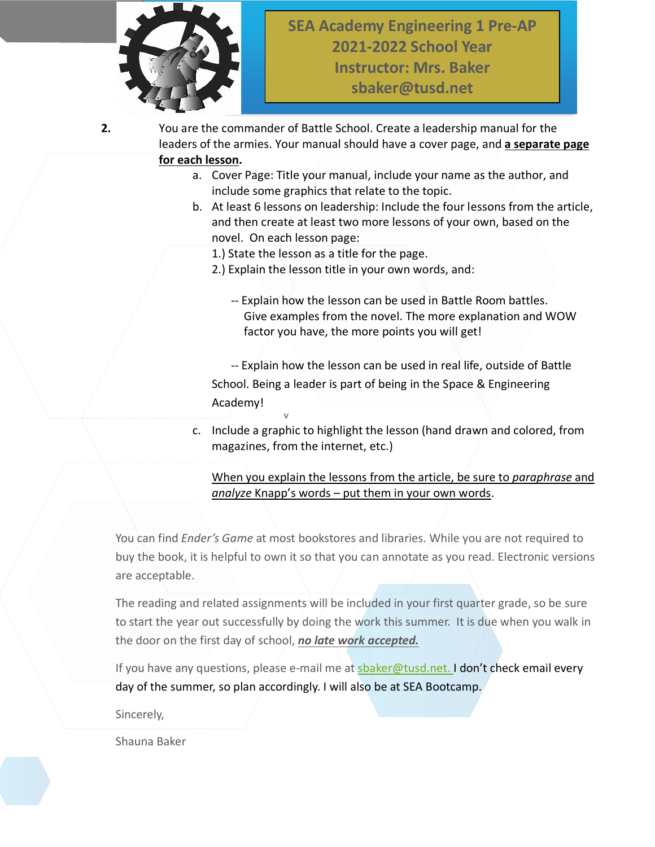

**2.** You are the commander of Battle School. Create a leadership manual for the leaders of the armies. Your manual should have a cover page, and **a separate page for each lesson.**

- a. Cover Page: Title your manual, include your name as the author, and include some graphics that relate to the topic.
- b. At least 6 lessons on leadership: Include the four lessons from the article, and then create at least two more lessons of your own, based on the novel. On each lesson page:
	- 1.) State the lesson as a title for the page.
	- 2.) Explain the lesson title in your own words, and:
		- -- Explain how the lesson can be used in Battle Room battles. Give examples from the novel. The more explanation and WOW factor you have, the more points you will get!

v -- Explain how the lesson can be used in real life, outside of Battle School. Being a leader is part of being in the Space & Engineering Academy!

c. Include a graphic to highlight the lesson (hand drawn and colored, from magazines, from the internet, etc.)

#### When you explain the lessons from the article, be sure to *paraphrase* and *analyze* Knapp's words – put them in your own words.

You can find *Ender's Game* at most bookstores and libraries. While you are not required to buy the book, it is helpful to own it so that you can annotate as you read. Electronic versions are acceptable.

The reading and related assignments will be included in your first quarter grade, so be sure to start the year out successfully by doing the work this summer. It is due when you walk in the door on the first day of school, *no late work accepted.*

If you have any questions, please e-mail me at [sbaker@tusd.net.](mailto:sbaker@tusd.net) I don't check email every day of the summer, so plan accordingly. I will also be at SEA Bootcamp.

Sincerely,

Shauna Baker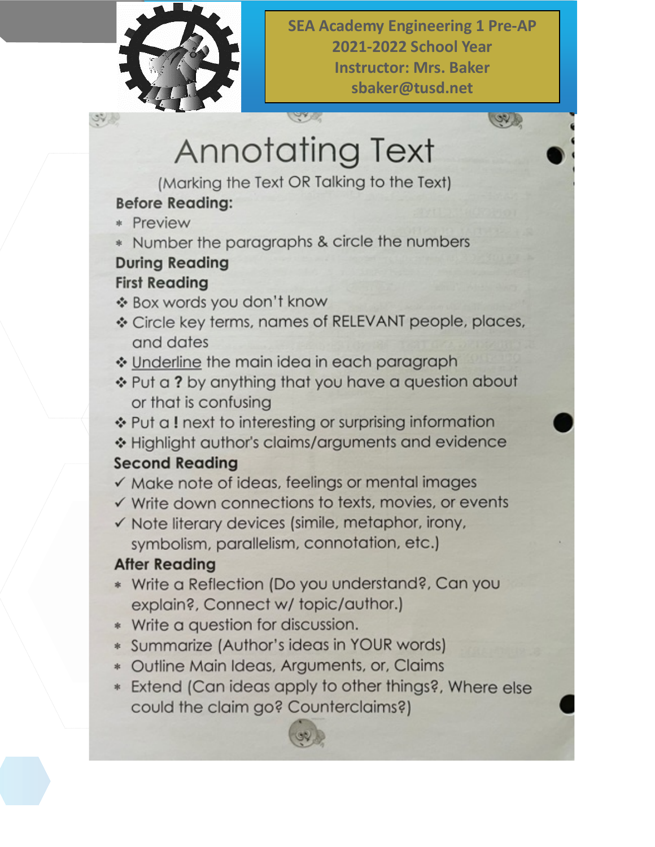

**SEA Academy Engineering 1 Pre-AP 2021-2022 School Year Instructor: Mrs. Baker** sbaker@tusd.net

**CON R** 

# **Annotating Text**

**CONTRACTOR** 

(Marking the Text OR Talking to the Text)

## **Before Reading:**

- \* Preview
- \* Number the paragraphs & circle the numbers

### **During Reading First Reading**

- \* Box words you don't know
- \* Circle key terms, names of RELEVANT people, places, and dates
- Underline the main idea in each paragraph
- \* Put a ? by anything that you have a question about or that is confusing
- ❖ Put a ! next to interesting or surprising information
- \* Highlight author's claims/arguments and evidence

## **Second Reading**

- $\checkmark$  Make note of ideas, feelings or mental images
- $\checkmark$  Write down connections to texts, movies, or events
- √ Note literary devices (simile, metaphor, irony, symbolism, parallelism, connotation, etc.)

## **After Reading**

- \* Write a Reflection (Do you understand?, Can you explain?, Connect w/ topic/author.)
- \* Write a question for discussion.
- \* Summarize (Author's ideas in YOUR words)
- \* Outline Main Ideas, Arguments, or, Claims
- \* Extend (Can ideas apply to other things?, Where else could the claim go? Counterclaims?)